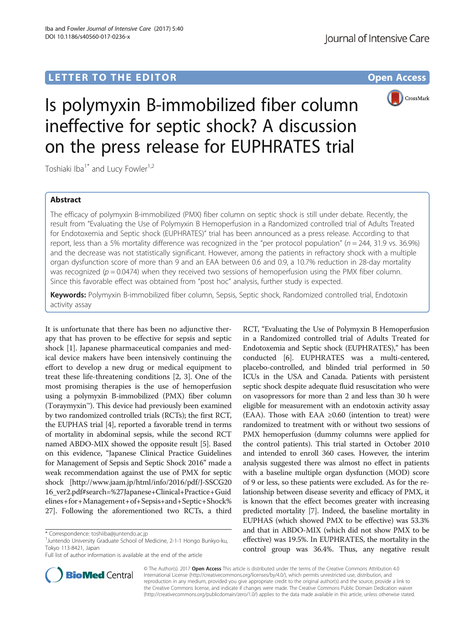## LETTER TO THE EDITOR **CONSIDERING A CONSIDERATION**



# Is polymyxin B-immobilized fiber column ineffective for septic shock? A discussion on the press release for EUPHRATES trial

Toshiaki Iba<sup>1\*</sup> and Lucy Fowler<sup>1,2</sup>

### Abstract

The efficacy of polymyxin B-immobilized (PMX) fiber column on septic shock is still under debate. Recently, the result from "Evaluating the Use of Polymyxin B Hemoperfusion in a Randomized controlled trial of Adults Treated for Endotoxemia and Septic shock (EUPHRATES)" trial has been announced as a press release. According to that report, less than a 5% mortality difference was recognized in the "per protocol population" ( $n = 244$ , 31.9 vs. 36.9%) and the decrease was not statistically significant. However, among the patients in refractory shock with a multiple organ dysfunction score of more than 9 and an EAA between 0.6 and 0.9, a 10.7% reduction in 28-day mortality was recognized ( $p = 0.0474$ ) when they received two sessions of hemoperfusion using the PMX fiber column. Since this favorable effect was obtained from "post hoc" analysis, further study is expected.

Keywords: Polymyxin B-immobilized fiber column, Sepsis, Septic shock, Randomized controlled trial, Endotoxin activity assay

It is unfortunate that there has been no adjunctive therapy that has proven to be effective for sepsis and septic shock [[1\]](#page-2-0). Japanese pharmaceutical companies and medical device makers have been intensively continuing the effort to develop a new drug or medical equipment to treat these life-threatening conditions [[2, 3\]](#page-2-0). One of the most promising therapies is the use of hemoperfusion using a polymyxin B-immobilized (PMX) fiber column (Toraymyxin™). This device had previously been examined by two randomized controlled trials (RCTs); the first RCT, the EUPHAS trial [\[4](#page-2-0)], reported a favorable trend in terms of mortality in abdominal sepsis, while the second RCT named ABDO-MIX showed the opposite result [\[5\]](#page-2-0). Based on this evidence, "Japanese Clinical Practice Guidelines for Management of Sepsis and Septic Shock 2016" made a weak recommendation against the use of PMX for septic shock [\[http://www.jaam.jp/html/info/2016/pdf/J-SSCG20](http://www.jaam.jp/html/info/2016/pdf/J-SSCG2016_ver2.pdf#search=%27Japanese+Clinical+Practice+Guidelines+for+Management+of+Sepsis+and+Septic+Shock%27) [16\\_ver2.pdf#search=%27Japanese+Clinical+Practice+Guid](http://www.jaam.jp/html/info/2016/pdf/J-SSCG2016_ver2.pdf#search=%27Japanese+Clinical+Practice+Guidelines+for+Management+of+Sepsis+and+Septic+Shock%27) [elines+for+Management+of+Sepsis+and+Septic+Shock%](http://www.jaam.jp/html/info/2016/pdf/J-SSCG2016_ver2.pdf#search=%27Japanese+Clinical+Practice+Guidelines+for+Management+of+Sepsis+and+Septic+Shock%27) [27](http://www.jaam.jp/html/info/2016/pdf/J-SSCG2016_ver2.pdf#search=%27Japanese+Clinical+Practice+Guidelines+for+Management+of+Sepsis+and+Septic+Shock%27)]. Following the aforementioned two RCTs, a third





© The Author(s). 2017 **Open Access** This article is distributed under the terms of the Creative Commons Attribution 4.0 International License [\(http://creativecommons.org/licenses/by/4.0/](http://creativecommons.org/licenses/by/4.0/)), which permits unrestricted use, distribution, and reproduction in any medium, provided you give appropriate credit to the original author(s) and the source, provide a link to the Creative Commons license, and indicate if changes were made. The Creative Commons Public Domain Dedication waiver [\(http://creativecommons.org/publicdomain/zero/1.0/](http://creativecommons.org/publicdomain/zero/1.0/)) applies to the data made available in this article, unless otherwise stated.

<sup>\*</sup> Correspondence: [toshiiba@juntendo.ac.jp](mailto:toshiiba@juntendo.ac.jp) <sup>1</sup>

<sup>&</sup>lt;sup>1</sup> Juntendo University Graduate School of Medicine, 2-1-1 Hongo Bunkyo-ku, Tokyo 113-8421, Japan

Full list of author information is available at the end of the article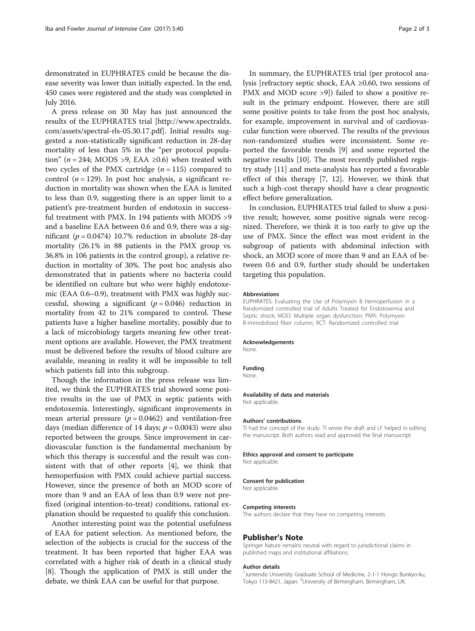demonstrated in EUPHRATES could be because the disease severity was lower than initially expected. In the end, 450 cases were registered and the study was completed in July 2016.

A press release on 30 May has just announced the results of the EUPHRATES trial [[http://www.spectraldx.](http://www.spectraldx.com/assets/spectral-rls-05.30.17.pdf) [com/assets/spectral-rls-05.30.17.pdf](http://www.spectraldx.com/assets/spectral-rls-05.30.17.pdf)]. Initial results suggested a non-statistically significant reduction in 28-day mortality of less than 5% in the "per protocol population" ( $n = 244$ ; MODS >9, EAA ≥0.6) when treated with two cycles of the PMX cartridge  $(n = 115)$  compared to control ( $n = 129$ ). In post hoc analysis, a significant reduction in mortality was shown when the EAA is limited to less than 0.9, suggesting there is an upper limit to a patient's pre-treatment burden of endotoxin in successful treatment with PMX. In 194 patients with MODS >9 and a baseline EAA between 0.6 and 0.9, there was a significant ( $p = 0.0474$ ) 10.7% reduction in absolute 28-day mortality (26.1% in 88 patients in the PMX group vs. 36.8% in 106 patients in the control group), a relative reduction in mortality of 30%. The post hoc analysis also demonstrated that in patients where no bacteria could be identified on culture but who were highly endotoxemic (EAA 0.6–0.9), treatment with PMX was highly successful, showing a significant ( $p = 0.046$ ) reduction in mortality from 42 to 21% compared to control. These patients have a higher baseline mortality, possibly due to a lack of microbiology targets meaning few other treatment options are available. However, the PMX treatment must be delivered before the results of blood culture are available, meaning in reality it will be impossible to tell which patients fall into this subgroup.

Though the information in the press release was limited, we think the EUPHRATES trial showed some positive results in the use of PMX in septic patients with endotoxemia. Interestingly, significant improvements in mean arterial pressure ( $p = 0.0462$ ) and ventilation-free days (median difference of 14 days;  $p = 0.0043$ ) were also reported between the groups. Since improvement in cardiovascular function is the fundamental mechanism by which this therapy is successful and the result was consistent with that of other reports [\[4\]](#page-2-0), we think that hemoperfusion with PMX could achieve partial success. However, since the presence of both an MOD score of more than 9 and an EAA of less than 0.9 were not prefixed (original intention-to-treat) conditions, rational explanation should be requested to qualify this conclusion.

Another interesting point was the potential usefulness of EAA for patient selection. As mentioned before, the selection of the subjects is crucial for the success of the treatment. It has been reported that higher EAA was correlated with a higher risk of death in a clinical study [[8\]](#page-2-0). Though the application of PMX is still under the debate, we think EAA can be useful for that purpose.

In summary, the EUPHRATES trial (per protocol analysis [refractory septic shock, EAA ≥0.60, two sessions of PMX and MOD score >9]) failed to show a positive result in the primary endpoint. However, there are still some positive points to take from the post hoc analysis, for example, improvement in survival and of cardiovascular function were observed. The results of the previous non-randomized studies were inconsistent. Some reported the favorable trends [\[9](#page-2-0)] and some reported the negative results [\[10\]](#page-2-0). The most recently published registry study [\[11](#page-2-0)] and meta-analysis has reported a favorable effect of this therapy [[7, 12\]](#page-2-0). However, we think that such a high-cost therapy should have a clear prognostic effect before generalization.

In conclusion, EUPHRATES trial failed to show a positive result; however, some positive signals were recognized. Therefore, we think it is too early to give up the use of PMX. Since the effect was most evident in the subgroup of patients with abdominal infection with shock, an MOD score of more than 9 and an EAA of between 0.6 and 0.9, further study should be undertaken targeting this population.

#### Abbreviations

EUPHRATES: Evaluating the Use of Polymyxin B Hemoperfusion in a Randomized controlled trial of Adults Treated for Endotoxemia and Septic shock; MOD: Multiple organ dysfunction; PMX: Polymyxin B-immobilized fiber column; RCT: Randomized controlled trial

#### Acknowledgements

None.

Funding None.

#### Availability of data and materials

Not applicable.

#### Authors' contributions

TI had the concept of the study. TI wrote the draft and LF helped in editing the manuscript. Both authors read and approved the final manuscript.

#### Ethics approval and consent to participate

Not applicable.

#### Consent for publication

Not applicable.

#### Competing interests

The authors declare that they have no competing interests.

#### Publisher's Note

Springer Nature remains neutral with regard to jurisdictional claims in published maps and institutional affiliations.

#### Author details

<sup>1</sup> Juntendo University Graduate School of Medicine, 2-1-1 Hongo Bunkyo-ku Tokyo 113-8421, Japan. <sup>2</sup>University of Birmingham, Birmingham, UK